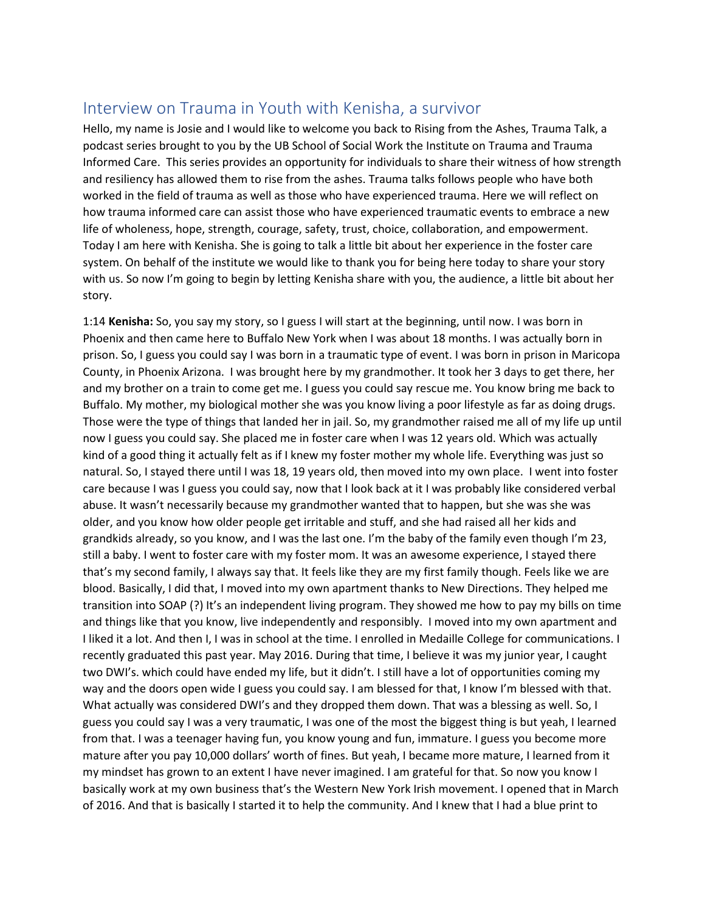## Interview on Trauma in Youth with Kenisha, a survivor

Hello, my name is Josie and I would like to welcome you back to Rising from the Ashes, Trauma Talk, a podcast series brought to you by the UB School of Social Work the Institute on Trauma and Trauma Informed Care. This series provides an opportunity for individuals to share their witness of how strength and resiliency has allowed them to rise from the ashes. Trauma talks follows people who have both worked in the field of trauma as well as those who have experienced trauma. Here we will reflect on how trauma informed care can assist those who have experienced traumatic events to embrace a new life of wholeness, hope, strength, courage, safety, trust, choice, collaboration, and empowerment. Today I am here with Kenisha. She is going to talk a little bit about her experience in the foster care system. On behalf of the institute we would like to thank you for being here today to share your story with us. So now I'm going to begin by letting Kenisha share with you, the audience, a little bit about her story.

1:14 **Kenisha:** So, you say my story, so I guess I will start at the beginning, until now. I was born in Phoenix and then came here to Buffalo New York when I was about 18 months. I was actually born in prison. So, I guess you could say I was born in a traumatic type of event. I was born in prison in Maricopa County, in Phoenix Arizona. I was brought here by my grandmother. It took her 3 days to get there, her and my brother on a train to come get me. I guess you could say rescue me. You know bring me back to Buffalo. My mother, my biological mother she was you know living a poor lifestyle as far as doing drugs. Those were the type of things that landed her in jail. So, my grandmother raised me all of my life up until now I guess you could say. She placed me in foster care when I was 12 years old. Which was actually kind of a good thing it actually felt as if I knew my foster mother my whole life. Everything was just so natural. So, I stayed there until I was 18, 19 years old, then moved into my own place. I went into foster care because I was I guess you could say, now that I look back at it I was probably like considered verbal abuse. It wasn't necessarily because my grandmother wanted that to happen, but she was she was older, and you know how older people get irritable and stuff, and she had raised all her kids and grandkids already, so you know, and I was the last one. I'm the baby of the family even though I'm 23, still a baby. I went to foster care with my foster mom. It was an awesome experience, I stayed there that's my second family, I always say that. It feels like they are my first family though. Feels like we are blood. Basically, I did that, I moved into my own apartment thanks to New Directions. They helped me transition into SOAP (?) It's an independent living program. They showed me how to pay my bills on time and things like that you know, live independently and responsibly. I moved into my own apartment and I liked it a lot. And then I, I was in school at the time. I enrolled in Medaille College for communications. I recently graduated this past year. May 2016. During that time, I believe it was my junior year, I caught two DWI's. which could have ended my life, but it didn't. I still have a lot of opportunities coming my way and the doors open wide I guess you could say. I am blessed for that, I know I'm blessed with that. What actually was considered DWI's and they dropped them down. That was a blessing as well. So, I guess you could say I was a very traumatic, I was one of the most the biggest thing is but yeah, I learned from that. I was a teenager having fun, you know young and fun, immature. I guess you become more mature after you pay 10,000 dollars' worth of fines. But yeah, I became more mature, I learned from it my mindset has grown to an extent I have never imagined. I am grateful for that. So now you know I basically work at my own business that's the Western New York Irish movement. I opened that in March of 2016. And that is basically I started it to help the community. And I knew that I had a blue print to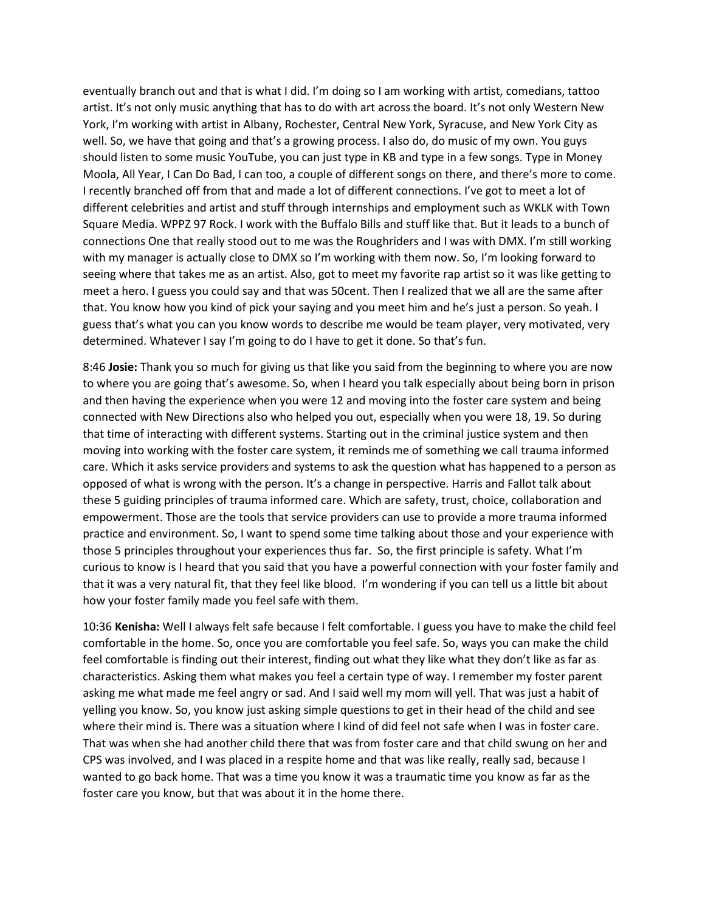eventually branch out and that is what I did. I'm doing so I am working with artist, comedians, tattoo artist. It's not only music anything that has to do with art across the board. It's not only Western New York, I'm working with artist in Albany, Rochester, Central New York, Syracuse, and New York City as well. So, we have that going and that's a growing process. I also do, do music of my own. You guys should listen to some music YouTube, you can just type in KB and type in a few songs. Type in Money Moola, All Year, I Can Do Bad, I can too, a couple of different songs on there, and there's more to come. I recently branched off from that and made a lot of different connections. I've got to meet a lot of different celebrities and artist and stuff through internships and employment such as WKLK with Town Square Media. WPPZ 97 Rock. I work with the Buffalo Bills and stuff like that. But it leads to a bunch of connections One that really stood out to me was the Roughriders and I was with DMX. I'm still working with my manager is actually close to DMX so I'm working with them now. So, I'm looking forward to seeing where that takes me as an artist. Also, got to meet my favorite rap artist so it was like getting to meet a hero. I guess you could say and that was 50cent. Then I realized that we all are the same after that. You know how you kind of pick your saying and you meet him and he's just a person. So yeah. I guess that's what you can you know words to describe me would be team player, very motivated, very determined. Whatever I say I'm going to do I have to get it done. So that's fun.

8:46 **Josie:** Thank you so much for giving us that like you said from the beginning to where you are now to where you are going that's awesome. So, when I heard you talk especially about being born in prison and then having the experience when you were 12 and moving into the foster care system and being connected with New Directions also who helped you out, especially when you were 18, 19. So during that time of interacting with different systems. Starting out in the criminal justice system and then moving into working with the foster care system, it reminds me of something we call trauma informed care. Which it asks service providers and systems to ask the question what has happened to a person as opposed of what is wrong with the person. It's a change in perspective. Harris and Fallot talk about these 5 guiding principles of trauma informed care. Which are safety, trust, choice, collaboration and empowerment. Those are the tools that service providers can use to provide a more trauma informed practice and environment. So, I want to spend some time talking about those and your experience with those 5 principles throughout your experiences thus far. So, the first principle is safety. What I'm curious to know is I heard that you said that you have a powerful connection with your foster family and that it was a very natural fit, that they feel like blood. I'm wondering if you can tell us a little bit about how your foster family made you feel safe with them.

10:36 **Kenisha:** Well I always felt safe because I felt comfortable. I guess you have to make the child feel comfortable in the home. So, once you are comfortable you feel safe. So, ways you can make the child feel comfortable is finding out their interest, finding out what they like what they don't like as far as characteristics. Asking them what makes you feel a certain type of way. I remember my foster parent asking me what made me feel angry or sad. And I said well my mom will yell. That was just a habit of yelling you know. So, you know just asking simple questions to get in their head of the child and see where their mind is. There was a situation where I kind of did feel not safe when I was in foster care. That was when she had another child there that was from foster care and that child swung on her and CPS was involved, and I was placed in a respite home and that was like really, really sad, because I wanted to go back home. That was a time you know it was a traumatic time you know as far as the foster care you know, but that was about it in the home there.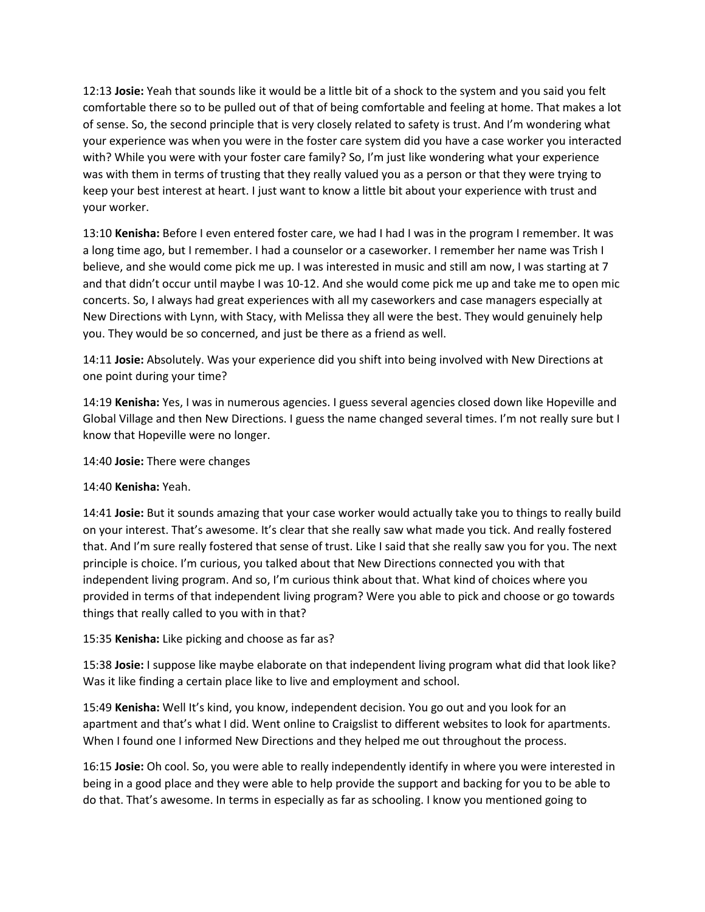12:13 **Josie:** Yeah that sounds like it would be a little bit of a shock to the system and you said you felt comfortable there so to be pulled out of that of being comfortable and feeling at home. That makes a lot of sense. So, the second principle that is very closely related to safety is trust. And I'm wondering what your experience was when you were in the foster care system did you have a case worker you interacted with? While you were with your foster care family? So, I'm just like wondering what your experience was with them in terms of trusting that they really valued you as a person or that they were trying to keep your best interest at heart. I just want to know a little bit about your experience with trust and your worker.

13:10 **Kenisha:** Before I even entered foster care, we had I had I was in the program I remember. It was a long time ago, but I remember. I had a counselor or a caseworker. I remember her name was Trish I believe, and she would come pick me up. I was interested in music and still am now, I was starting at 7 and that didn't occur until maybe I was 10-12. And she would come pick me up and take me to open mic concerts. So, I always had great experiences with all my caseworkers and case managers especially at New Directions with Lynn, with Stacy, with Melissa they all were the best. They would genuinely help you. They would be so concerned, and just be there as a friend as well.

14:11 **Josie:** Absolutely. Was your experience did you shift into being involved with New Directions at one point during your time?

14:19 **Kenisha:** Yes, I was in numerous agencies. I guess several agencies closed down like Hopeville and Global Village and then New Directions. I guess the name changed several times. I'm not really sure but I know that Hopeville were no longer.

14:40 **Josie:** There were changes

## 14:40 **Kenisha:** Yeah.

14:41 **Josie:** But it sounds amazing that your case worker would actually take you to things to really build on your interest. That's awesome. It's clear that she really saw what made you tick. And really fostered that. And I'm sure really fostered that sense of trust. Like I said that she really saw you for you. The next principle is choice. I'm curious, you talked about that New Directions connected you with that independent living program. And so, I'm curious think about that. What kind of choices where you provided in terms of that independent living program? Were you able to pick and choose or go towards things that really called to you with in that?

## 15:35 **Kenisha:** Like picking and choose as far as?

15:38 **Josie:** I suppose like maybe elaborate on that independent living program what did that look like? Was it like finding a certain place like to live and employment and school.

15:49 **Kenisha:** Well It's kind, you know, independent decision. You go out and you look for an apartment and that's what I did. Went online to Craigslist to different websites to look for apartments. When I found one I informed New Directions and they helped me out throughout the process.

16:15 **Josie:** Oh cool. So, you were able to really independently identify in where you were interested in being in a good place and they were able to help provide the support and backing for you to be able to do that. That's awesome. In terms in especially as far as schooling. I know you mentioned going to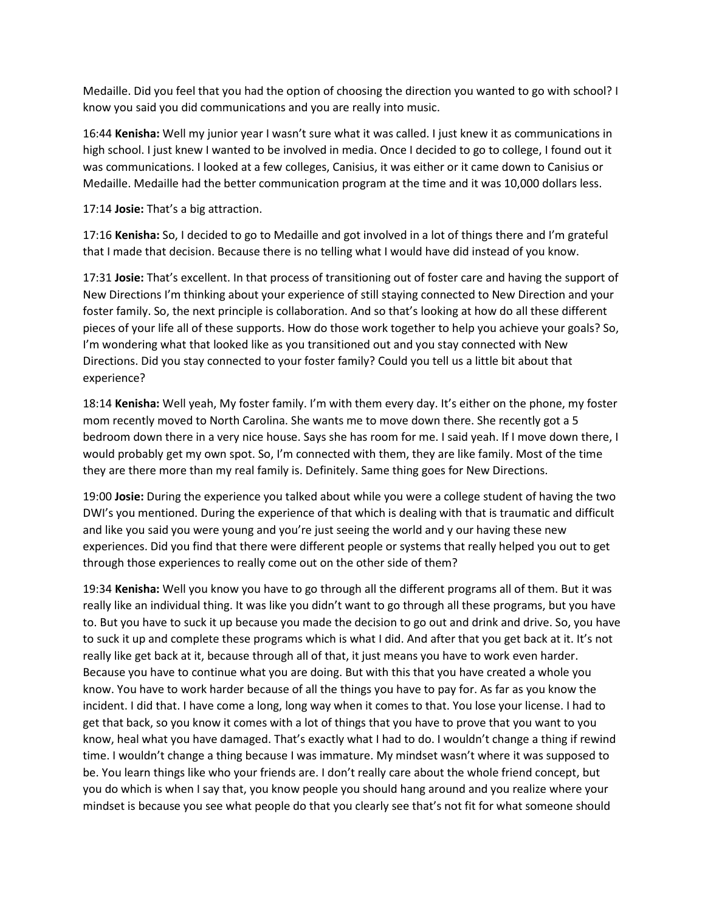Medaille. Did you feel that you had the option of choosing the direction you wanted to go with school? I know you said you did communications and you are really into music.

16:44 **Kenisha:** Well my junior year I wasn't sure what it was called. I just knew it as communications in high school. I just knew I wanted to be involved in media. Once I decided to go to college, I found out it was communications. I looked at a few colleges, Canisius, it was either or it came down to Canisius or Medaille. Medaille had the better communication program at the time and it was 10,000 dollars less.

17:14 **Josie:** That's a big attraction.

17:16 **Kenisha:** So, I decided to go to Medaille and got involved in a lot of things there and I'm grateful that I made that decision. Because there is no telling what I would have did instead of you know.

17:31 **Josie:** That's excellent. In that process of transitioning out of foster care and having the support of New Directions I'm thinking about your experience of still staying connected to New Direction and your foster family. So, the next principle is collaboration. And so that's looking at how do all these different pieces of your life all of these supports. How do those work together to help you achieve your goals? So, I'm wondering what that looked like as you transitioned out and you stay connected with New Directions. Did you stay connected to your foster family? Could you tell us a little bit about that experience?

18:14 **Kenisha:** Well yeah, My foster family. I'm with them every day. It's either on the phone, my foster mom recently moved to North Carolina. She wants me to move down there. She recently got a 5 bedroom down there in a very nice house. Says she has room for me. I said yeah. If I move down there, I would probably get my own spot. So, I'm connected with them, they are like family. Most of the time they are there more than my real family is. Definitely. Same thing goes for New Directions.

19:00 **Josie:** During the experience you talked about while you were a college student of having the two DWI's you mentioned. During the experience of that which is dealing with that is traumatic and difficult and like you said you were young and you're just seeing the world and y our having these new experiences. Did you find that there were different people or systems that really helped you out to get through those experiences to really come out on the other side of them?

19:34 **Kenisha:** Well you know you have to go through all the different programs all of them. But it was really like an individual thing. It was like you didn't want to go through all these programs, but you have to. But you have to suck it up because you made the decision to go out and drink and drive. So, you have to suck it up and complete these programs which is what I did. And after that you get back at it. It's not really like get back at it, because through all of that, it just means you have to work even harder. Because you have to continue what you are doing. But with this that you have created a whole you know. You have to work harder because of all the things you have to pay for. As far as you know the incident. I did that. I have come a long, long way when it comes to that. You lose your license. I had to get that back, so you know it comes with a lot of things that you have to prove that you want to you know, heal what you have damaged. That's exactly what I had to do. I wouldn't change a thing if rewind time. I wouldn't change a thing because I was immature. My mindset wasn't where it was supposed to be. You learn things like who your friends are. I don't really care about the whole friend concept, but you do which is when I say that, you know people you should hang around and you realize where your mindset is because you see what people do that you clearly see that's not fit for what someone should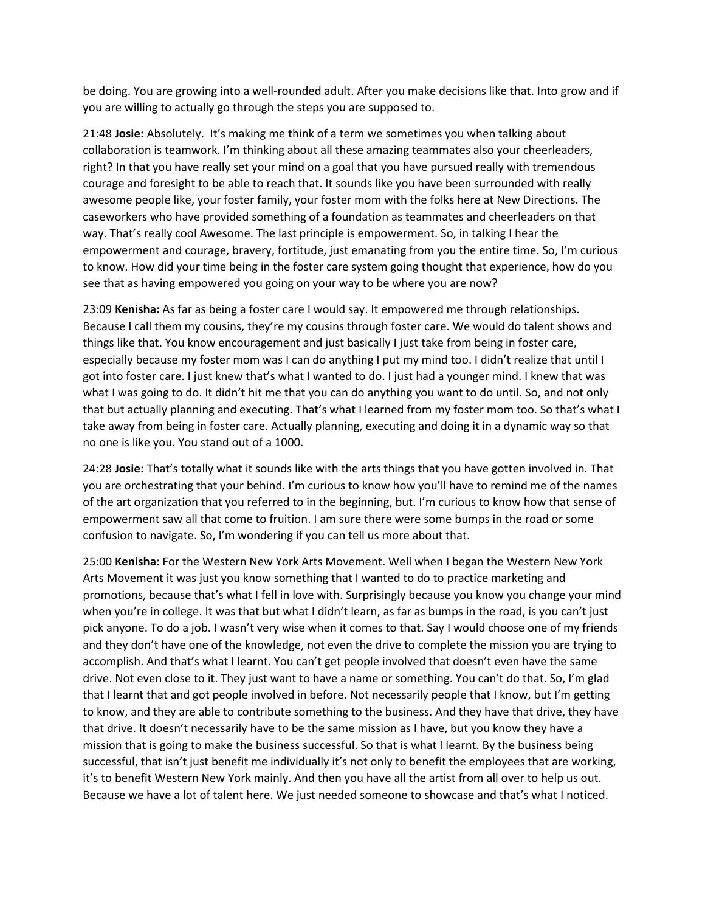be doing. You are growing into a well-rounded adult. After you make decisions like that. Into grow and if you are willing to actually go through the steps you are supposed to.

21:48 **Josie:** Absolutely. It's making me think of a term we sometimes you when talking about collaboration is teamwork. I'm thinking about all these amazing teammates also your cheerleaders, right? In that you have really set your mind on a goal that you have pursued really with tremendous courage and foresight to be able to reach that. It sounds like you have been surrounded with really awesome people like, your foster family, your foster mom with the folks here at New Directions. The caseworkers who have provided something of a foundation as teammates and cheerleaders on that way. That's really cool Awesome. The last principle is empowerment. So, in talking I hear the empowerment and courage, bravery, fortitude, just emanating from you the entire time. So, I'm curious to know. How did your time being in the foster care system going thought that experience, how do you see that as having empowered you going on your way to be where you are now?

23:09 **Kenisha:** As far as being a foster care I would say. It empowered me through relationships. Because I call them my cousins, they're my cousins through foster care. We would do talent shows and things like that. You know encouragement and just basically I just take from being in foster care, especially because my foster mom was I can do anything I put my mind too. I didn't realize that until I got into foster care. I just knew that's what I wanted to do. I just had a younger mind. I knew that was what I was going to do. It didn't hit me that you can do anything you want to do until. So, and not only that but actually planning and executing. That's what I learned from my foster mom too. So that's what I take away from being in foster care. Actually planning, executing and doing it in a dynamic way so that no one is like you. You stand out of a 1000.

24:28 **Josie:** That's totally what it sounds like with the arts things that you have gotten involved in. That you are orchestrating that your behind. I'm curious to know how you'll have to remind me of the names of the art organization that you referred to in the beginning, but. I'm curious to know how that sense of empowerment saw all that come to fruition. I am sure there were some bumps in the road or some confusion to navigate. So, I'm wondering if you can tell us more about that.

25:00 **Kenisha:** For the Western New York Arts Movement. Well when I began the Western New York Arts Movement it was just you know something that I wanted to do to practice marketing and promotions, because that's what I fell in love with. Surprisingly because you know you change your mind when you're in college. It was that but what I didn't learn, as far as bumps in the road, is you can't just pick anyone. To do a job. I wasn't very wise when it comes to that. Say I would choose one of my friends and they don't have one of the knowledge, not even the drive to complete the mission you are trying to accomplish. And that's what I learnt. You can't get people involved that doesn't even have the same drive. Not even close to it. They just want to have a name or something. You can't do that. So, I'm glad that I learnt that and got people involved in before. Not necessarily people that I know, but I'm getting to know, and they are able to contribute something to the business. And they have that drive, they have that drive. It doesn't necessarily have to be the same mission as I have, but you know they have a mission that is going to make the business successful. So that is what I learnt. By the business being successful, that isn't just benefit me individually it's not only to benefit the employees that are working, it's to benefit Western New York mainly. And then you have all the artist from all over to help us out. Because we have a lot of talent here. We just needed someone to showcase and that's what I noticed.